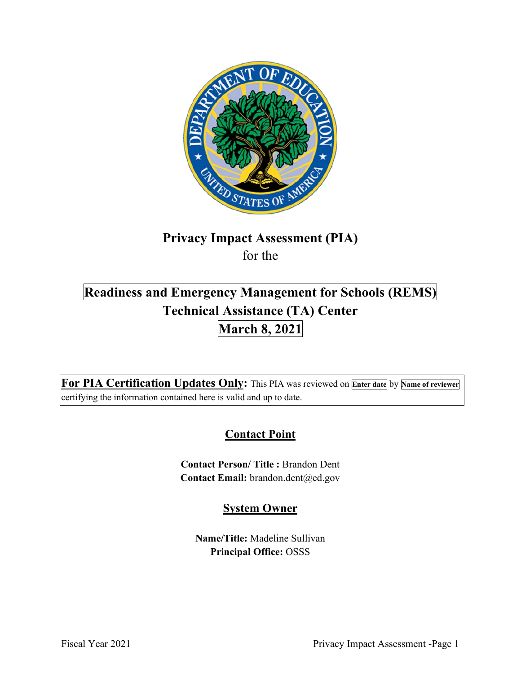

# **Privacy Impact Assessment (PIA)**  for the

# **Readiness and Emergency Management for Schools (REMS) March 8, 2021 Technical Assistance (TA) Center**

 **For PIA Certification Updates Only:** This PIA was reviewed on **Enter date** by **Name of reviewer**  certifying the information contained here is valid and up to date.

## **Contact Point**

 **Contact Person/ Title :** Brandon Dent Contact Email: brandon.dent@ed.gov

## **System Owner**

**Name/Title:** Madeline Sullivan **Principal Office:** OSSS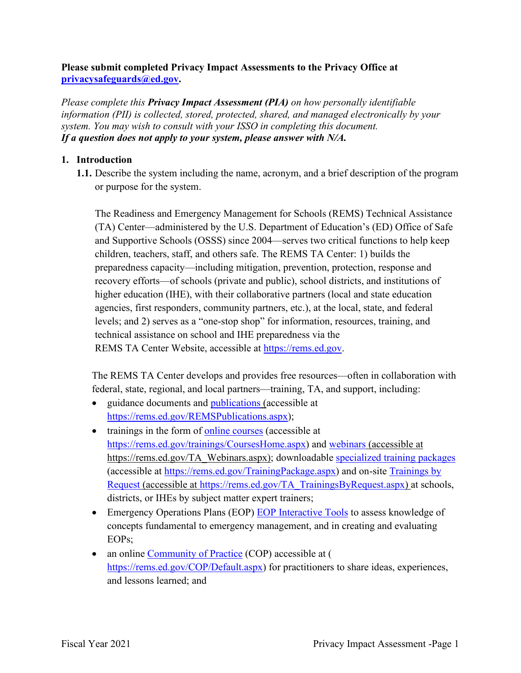#### **Please submit completed Privacy Impact Assessments to the Privacy Office at [privacysafeguards@ed.gov](mailto:privacysafeguards@ed.gov).**

*Please complete this Privacy Impact Assessment (PIA) on how personally identifiable information (PII) is collected, stored, protected, shared, and managed electronically by your system. You may wish to consult with your ISSO in completing this document. If a question does not apply to your system, please answer with N/A.* 

#### **1. Introduction**

 **1.1.** Describe the system including the name, acronym, and a brief description of the program or purpose for the system.

The Readiness and Emergency Management for Schools (REMS) Technical Assistance (TA) Center—administered by the U.S. Department of Education's (ED) Office of Safe and Supportive Schools (OSSS) since 2004—serves two critical functions to help keep children, teachers, staff, and others safe. The REMS TA Center: 1) builds the preparedness capacity—including mitigation, prevention, protection, response and recovery efforts—of schools (private and public), school districts, and institutions of higher education (IHE), with their collaborative partners (local and state education agencies, first responders, community partners, etc.), at the local, state, and federal levels; and 2) serves as a "one-stop shop" for information, resources, training, and technical assistance on school and IHE preparedness via the REMS TA Center Website, accessible at [https://rems.ed.gov.](https://rems.ed.gov)

The REMS TA Center develops and provides free resources—often in collaboration with federal, state, regional, and local partners—training, TA, and support, including:

- guidance documents and publications (accessible at <https://rems.ed.gov/REMSPublications.aspx>);
- trainings in the form of online courses (accessible at [https://rems.ed.gov/trainings/CoursesHome.aspx\)](https://rems.ed.gov/trainings/CoursesHome.aspx) and webinars (accessible at [https://rems.ed.gov/TA\\_Webinars.aspx](https://rems.ed.gov/TA_Webinars.aspx)); downloadable specialized training packages (accessible at [https://rems.ed.gov/TrainingPackage.aspx\)](https://rems.ed.gov/TrainingPackage.aspx) and on-site Trainings by Request (accessible at [https://rems.ed.gov/TA\\_TrainingsByRequest.aspx](https://rems.ed.gov/TA_TrainingsByRequest.aspx)) at schools, districts, or IHEs by subject matter expert trainers;
- Emergency Operations Plans (EOP) EOP Interactive Tools to assess knowledge of concepts fundamental to emergency management, and in creating and evaluating EOPs;
- an online Community of Practice (COP) accessible at ( [https://rems.ed.gov/COP/Default.aspx\)](https://rems.ed.gov/COP/Default.aspx) for practitioners to share ideas, experiences, and lessons learned; and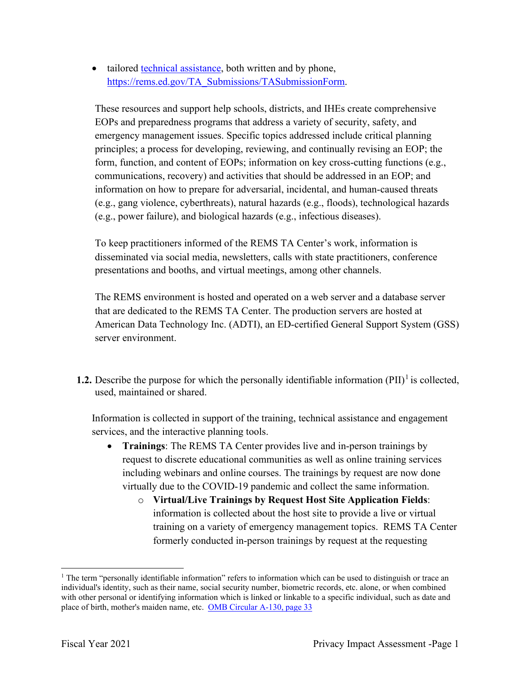• tailored technical assistance, both written and by phone, [https://rems.ed.gov/TA\\_Submissions/TASubmissionForm](https://rems.ed.gov/TA_Submissions/TASubmissionForm).

 information on how to prepare for adversarial, incidental, and human-caused threats These resources and support help schools, districts, and IHEs create comprehensive EOPs and preparedness programs that address a variety of security, safety, and emergency management issues. Specific topics addressed include critical planning principles; a process for developing, reviewing, and continually revising an EOP; the form, function, and content of EOPs; information on key cross-cutting functions (e.g., communications, recovery) and activities that should be addressed in an EOP; and (e.g., gang violence, cyberthreats), natural hazards (e.g., floods), technological hazards (e.g., power failure), and biological hazards (e.g., infectious diseases).

 disseminated via social media, newsletters, calls with state practitioners, conference To keep practitioners informed of the REMS TA Center's work, information is presentations and booths, and virtual meetings, among other channels.

 The REMS environment is hosted and operated on a web server and a database server that are dedicated to the REMS TA Center. The production servers are hosted at American Data Technology Inc. (ADTI), an ED-certified General Support System (GSS) server environment.

**1.2.** Describe the purpose for which the personally identifiable information  $(PII)^{1}$  is collected, used, maintained or shared.

 Information is collected in support of the training, technical assistance and engagement services, and the interactive planning tools.

- **Trainings**: The REMS TA Center provides live and in-person trainings by request to discrete educational communities as well as online training services including webinars and online courses. The trainings by request are now done virtually due to the COVID-19 pandemic and collect the same information.
	- training on a variety of emergency management topics. REMS TA Center o **Virtual/Live Trainings by Request Host Site Application Fields**: information is collected about the host site to provide a live or virtual formerly conducted in-person trainings by request at the requesting

place of birth, mother's maiden name, etc. OMB Circular A-130, page 33 <sup>1</sup> The term "personally identifiable information" refers to information which can be used to distinguish or trace an individual's identity, such as their name, social security number, biometric records, etc. alone, or when combined with other personal or identifying information which is linked or linkable to a specific individual, such as date and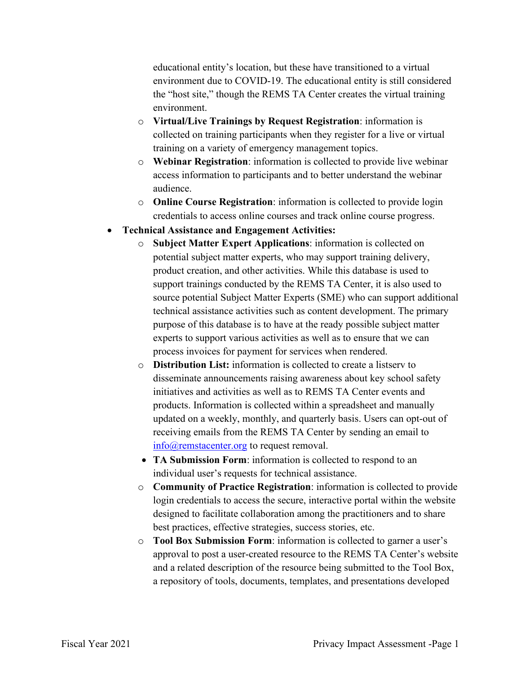environment due to COVID-19. The educational entity is still considered educational entity's location, but these have transitioned to a virtual the "host site," though the REMS TA Center creates the virtual training environment.

- collected on training participants when they register for a live or virtual o **Virtual/Live Trainings by Request Registration**: information is training on a variety of emergency management topics.
- o **Webinar Registration**: information is collected to provide live webinar access information to participants and to better understand the webinar audience.
- o **Online Course Registration**: information is collected to provide login credentials to access online courses and track online course progress.
- **Technical Assistance and Engagement Activities:** 
	- potential subject matter experts, who may support training delivery, product creation, and other activities. While this database is used to source potential Subject Matter Experts (SME) who can support additional process invoices for payment for services when rendered. o **Subject Matter Expert Applications**: information is collected on support trainings conducted by the REMS TA Center, it is also used to technical assistance activities such as content development. The primary purpose of this database is to have at the ready possible subject matter experts to support various activities as well as to ensure that we can
	- o **Distribution List:** information is collected to create a listserv to disseminate announcements raising awareness about key school safety initiatives and activities as well as to REMS TA Center events and products. Information is collected within a spreadsheet and manually updated on a weekly, monthly, and quarterly basis. Users can opt-out of receiving emails from the REMS TA Center by sending an email to [info@remstacenter.org](mailto:info@remstacenter.org) to request removal.
	- • **TA Submission Form**: information is collected to respond to an individual user's requests for technical assistance.
	- o **Community of Practice Registration**: information is collected to provide best practices, effective strategies, success stories, etc. login credentials to access the secure, interactive portal within the website designed to facilitate collaboration among the practitioners and to share
	- o **Tool Box Submission Form**: information is collected to garner a user's approval to post a user-created resource to the REMS TA Center's website and a related description of the resource being submitted to the Tool Box, a repository of tools, documents, templates, and presentations developed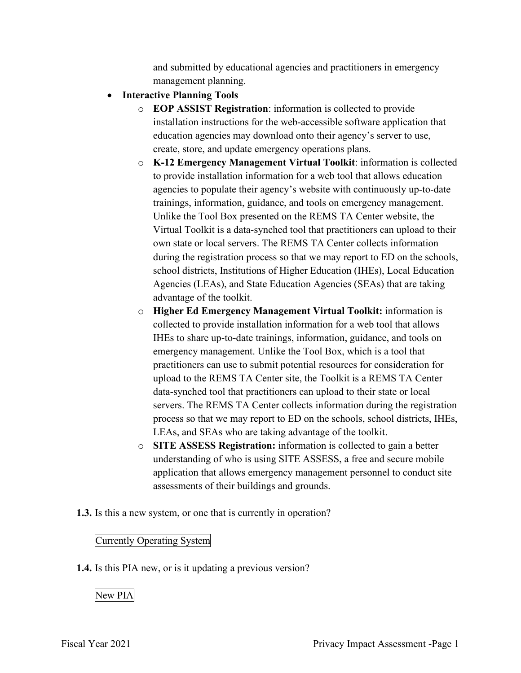and submitted by educational agencies and practitioners in emergency management planning.

- **Interactive Planning Tools** 
	- o **EOP ASSIST Registration**: information is collected to provide create, store, and update emergency operations plans. installation instructions for the web-accessible software application that education agencies may download onto their agency's server to use,
	- school districts, Institutions of Higher Education (IHEs), Local Education o **K-12 Emergency Management Virtual Toolkit**: information is collected to provide installation information for a web tool that allows education agencies to populate their agency's website with continuously up-to-date trainings, information, guidance, and tools on emergency management. Unlike the Tool Box presented on the REMS TA Center website, the Virtual Toolkit is a data-synched tool that practitioners can upload to their own state or local servers. The REMS TA Center collects information during the registration process so that we may report to ED on the schools, Agencies (LEAs), and State Education Agencies (SEAs) that are taking advantage of the toolkit.
	- o **Higher Ed Emergency Management Virtual Toolkit:** information is collected to provide installation information for a web tool that allows IHEs to share up-to-date trainings, information, guidance, and tools on emergency management. Unlike the Tool Box, which is a tool that practitioners can use to submit potential resources for consideration for upload to the REMS TA Center site, the Toolkit is a REMS TA Center data-synched tool that practitioners can upload to their state or local servers. The REMS TA Center collects information during the registration process so that we may report to ED on the schools, school districts, IHEs, LEAs, and SEAs who are taking advantage of the toolkit.
	- o **SITE ASSESS Registration:** information is collected to gain a better understanding of who is using SITE ASSESS, a free and secure mobile application that allows emergency management personnel to conduct site assessments of their buildings and grounds.
- **1.3.** Is this a new system, or one that is currently in operation?

### Currently Operating System

**1.4.** Is this PIA new, or is it updating a previous version?

### New PIA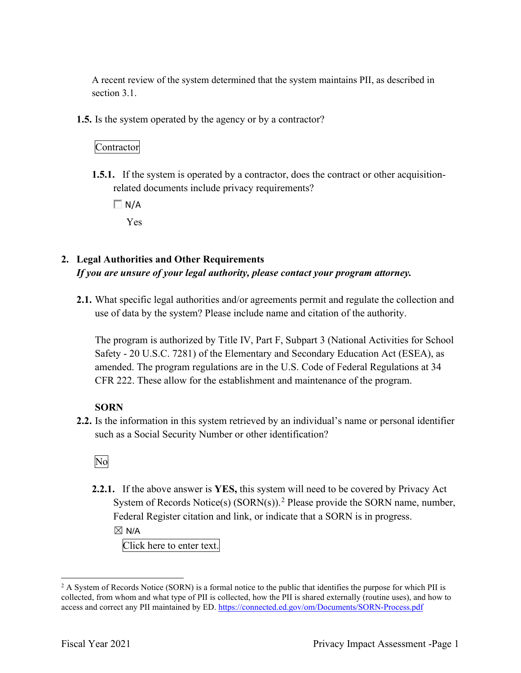section 3.1. A recent review of the system determined that the system maintains PII, as described in

**1.5.** Is the system operated by the agency or by a contractor?

#### Contractor

**1.5.1.** If the system is operated by a contractor, does the contract or other acquisitionrelated documents include privacy requirements?

 $\Box$  N/A

Yes

### **2. Legal Authorities and Other Requirements**  *If you are unsure of your legal authority, please contact your program attorney.*

**2.1.** What specific legal authorities and/or agreements permit and regulate the collection and use of data by the system? Please include name and citation of the authority.

The program is authorized by Title IV, Part F, Subpart 3 (National Activities for School Safety - 20 U.S.C. 7281) of the Elementary and Secondary Education Act (ESEA), as amended. The program regulations are in the U.S. Code of Federal Regulations at 34 CFR 222. These allow for the establishment and maintenance of the program.

#### **SORN**

such as a Social Security Number or other identification?<br>No **2.2.** Is the information in this system retrieved by an individual's name or personal identifier

**2.2.1.** If the above answer is **YES,** this system will need to be covered by Privacy Act System of Records Notice(s) (SORN(s)).<sup>2</sup> Please provide the SORN name, number, Federal Register citation and link, or indicate that a SORN is in progress.

 $\boxtimes$  N/A

Click here to enter text.

access and correct any PII maintained by ED. https://connected.ed.gov/om/Documents/SORN-Process.pdf<br>Fiscal Year 2021 Privacy Impact Assessment -Page 1  $2$  A System of Records Notice (SORN) is a formal notice to the public that identifies the purpose for which PII is collected, from whom and what type of PII is collected, how the PII is shared externally (routine uses), and how to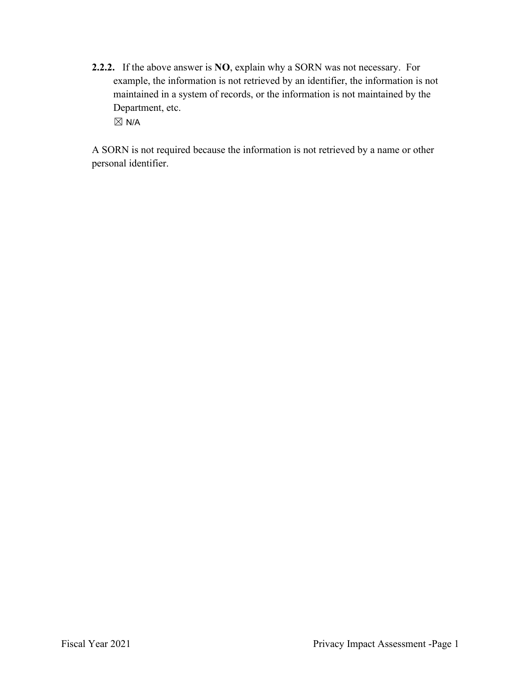**2.2.2.** If the above answer is **NO**, explain why a SORN was not necessary. For Department, etc.  $\boxtimes$  N/A example, the information is not retrieved by an identifier, the information is not maintained in a system of records, or the information is not maintained by the

 personal identifier. A SORN is not required because the information is not retrieved by a name or other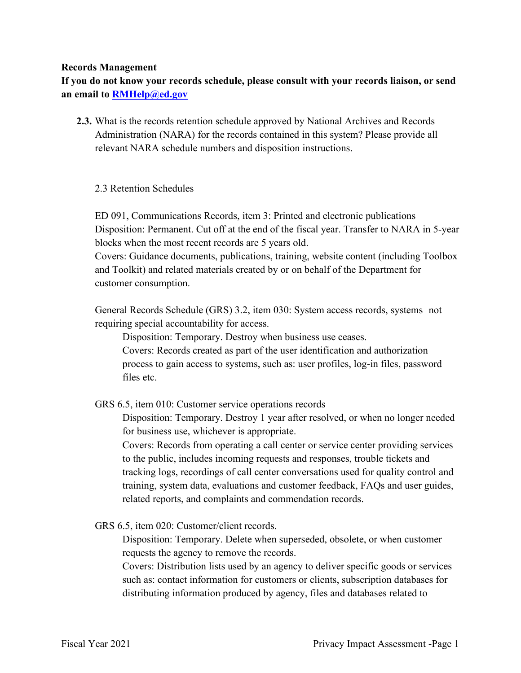#### **Records Management**

**If you do not know your records schedule, please consult with your records liaison, or send an email to [RMHelp@ed.gov](mailto:RMHelp@ed.gov)** 

 **2.3.** What is the records retention schedule approved by National Archives and Records Administration (NARA) for the records contained in this system? Please provide all relevant NARA schedule numbers and disposition instructions.

#### 2.3 Retention Schedules

ED 091, Communications Records, item 3: Printed and electronic publications Disposition: Permanent. Cut off at the end of the fiscal year. Transfer to NARA in 5-year blocks when the most recent records are 5 years old.

 and Toolkit) and related materials created by or on behalf of the Department for Covers: Guidance documents, publications, training, website content (including Toolbox customer consumption.

 General Records Schedule (GRS) 3.2, item 030: System access records, systems not requiring special accountability for access.

Disposition: Temporary. Destroy when business use ceases.

Covers: Records created as part of the user identification and authorization process to gain access to systems, such as: user profiles, log-in files, password files etc.

GRS 6.5, item 010: Customer service operations records

Disposition: Temporary. Destroy 1 year after resolved, or when no longer needed for business use, whichever is appropriate.

Covers: Records from operating a call center or service center providing services to the public, includes incoming requests and responses, trouble tickets and tracking logs, recordings of call center conversations used for quality control and training, system data, evaluations and customer feedback, FAQs and user guides, related reports, and complaints and commendation records.

GRS 6.5, item 020: Customer/client records.

Disposition: Temporary. Delete when superseded, obsolete, or when customer requests the agency to remove the records.

Covers: Distribution lists used by an agency to deliver specific goods or services such as: contact information for customers or clients, subscription databases for distributing information produced by agency, files and databases related to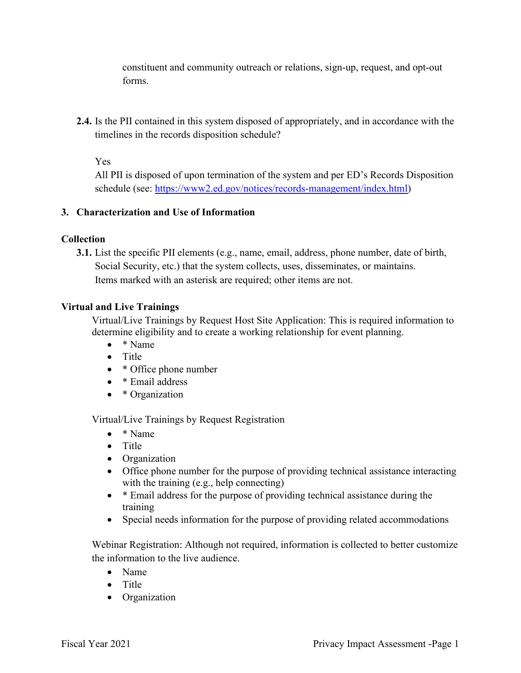constituent and community outreach or relations, sign-up, request, and opt-out forms.

**2.4.** Is the PII contained in this system disposed of appropriately, and in accordance with the timelines in the records disposition schedule?

Yes

 All PII is disposed of upon termination of the system and per ED's Records Disposition schedule (see:<https://www2.ed.gov/notices/records-management/index.html>)

#### **3. Characterization and Use of Information**

#### **Collection**

**3.1.** List the specific PII elements (e.g., name, email, address, phone number, date of birth, Social Security, etc.) that the system collects, uses, disseminates, or maintains. Items marked with an asterisk are required; other items are not.

#### **Virtual and Live Trainings**

Virtual/Live Trainings by Request Host Site Application: This is required information to determine eligibility and to create a working relationship for event planning.

- \* Name
- Title
- \* Office phone number
- \* Email address
- \* Organization

Virtual/Live Trainings by Request Registration

- \* Name
- Title
- Organization
- • Office phone number for the purpose of providing technical assistance interacting with the training (e.g., help connecting)
- training • \* Email address for the purpose of providing technical assistance during the
- Special needs information for the purpose of providing related accommodations

Webinar Registration: Although not required, information is collected to better customize the information to the live audience.

- Name
- Title
- Organization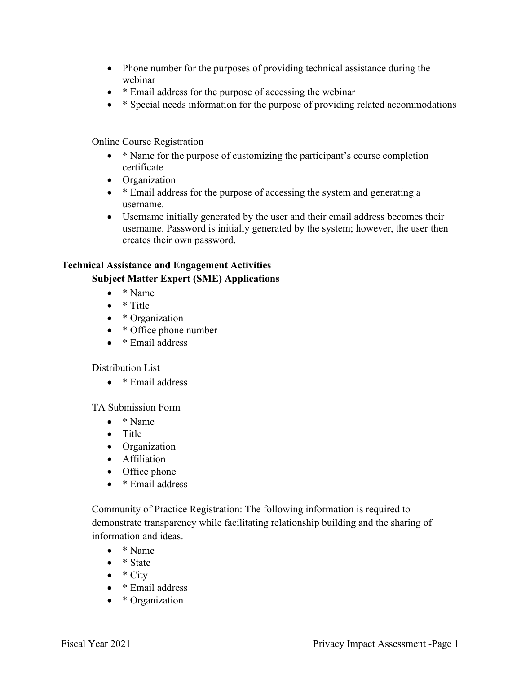- • Phone number for the purposes of providing technical assistance during the webinar
- \* Email address for the purpose of accessing the webinar
- \* Special needs information for the purpose of providing related accommodations

Online Course Registration

- \* Name for the purpose of customizing the participant's course completion certificate
- Organization
- \* Email address for the purpose of accessing the system and generating a username.
- Username initially generated by the user and their email address becomes their username. Password is initially generated by the system; however, the user then creates their own password.

#### **Technical Assistance and Engagement Activities**

#### **Subject Matter Expert (SME) Applications**

- \* Name
- \* Title
- \* Organization
- \* Office phone number
- \* Email address

#### Distribution List

• \* Email address

TA Submission Form

- \* Name
- Title
- Organization
- Affiliation
- Office phone
- \* Email address

Community of Practice Registration: The following information is required to demonstrate transparency while facilitating relationship building and the sharing of information and ideas.

- \* Name
- \* State
- $\bullet \quad *$  City
- \* Email address
- \* Organization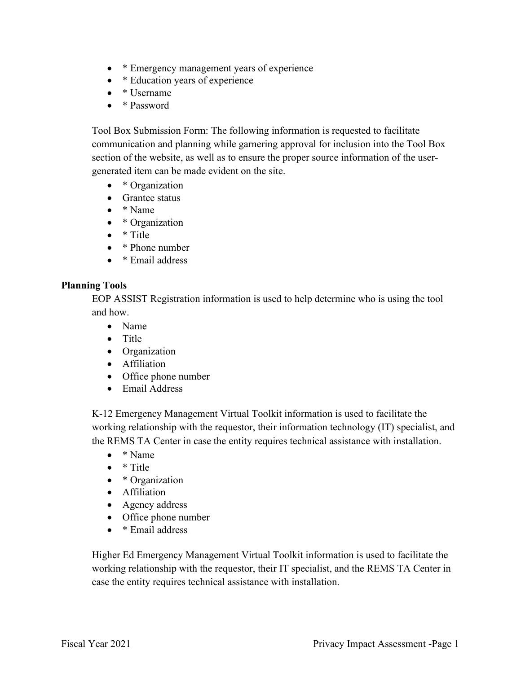- \* Emergency management years of experience
- \* Education years of experience
- \* Username
- \* Password

 section of the website, as well as to ensure the proper source information of the user-Tool Box Submission Form: The following information is requested to facilitate communication and planning while garnering approval for inclusion into the Tool Box generated item can be made evident on the site.

- \* Organization
- Grantee status
- \* Name
- \* Organization
- \* Title
- \* Phone number
- \* Email address

#### **Planning Tools**

EOP ASSIST Registration information is used to help determine who is using the tool and how.

- Name
- Title
- Organization
- Affiliation
- Office phone number
- Email Address

K-12 Emergency Management Virtual Toolkit information is used to facilitate the working relationship with the requestor, their information technology (IT) specialist, and the REMS TA Center in case the entity requires technical assistance with installation.

- \* Name
- \* Title
- \* Organization
- Affiliation
- Agency address
- Office phone number
- \* Email address

 case the entity requires technical assistance with installation. Higher Ed Emergency Management Virtual Toolkit information is used to facilitate the working relationship with the requestor, their IT specialist, and the REMS TA Center in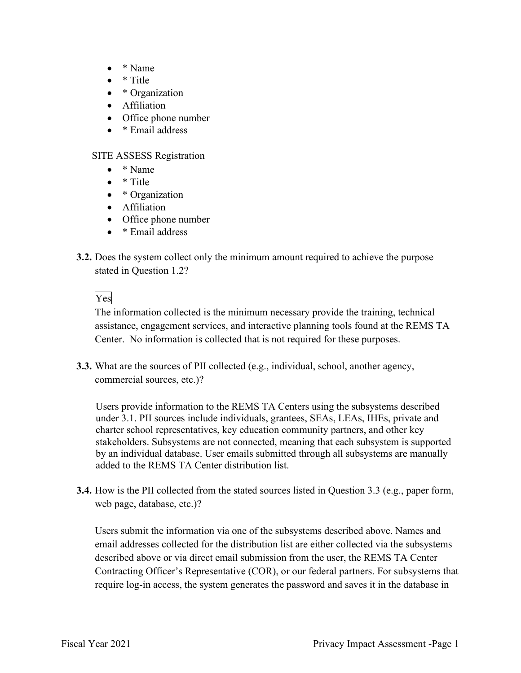- \* Name
- \* Title
- \* Organization
- Affiliation
- Office phone number
- \* Email address

#### SITE ASSESS Registration

- \* Name
- \* Title
- \* Organization
- Affiliation
- Office phone number
- \* Email address
- stated in Question 1.2?<br>Yes **3.2.** Does the system collect only the minimum amount required to achieve the purpose

 assistance, engagement services, and interactive planning tools found at the REMS TA The information collected is the minimum necessary provide the training, technical Center. No information is collected that is not required for these purposes.

**3.3.** What are the sources of PII collected (e.g., individual, school, another agency, commercial sources, etc.)?

 charter school representatives, key education community partners, and other key Users provide information to the REMS TA Centers using the subsystems described under 3.1. PII sources include individuals, grantees, SEAs, LEAs, IHEs, private and stakeholders. Subsystems are not connected, meaning that each subsystem is supported by an individual database. User emails submitted through all subsystems are manually added to the REMS TA Center distribution list.

 **3.4.** How is the PII collected from the stated sources listed in Question 3.3 (e.g., paper form, web page, database, etc.)?

Users submit the information via one of the subsystems described above. Names and email addresses collected for the distribution list are either collected via the subsystems described above or via direct email submission from the user, the REMS TA Center Contracting Officer's Representative (COR), or our federal partners. For subsystems that require log-in access, the system generates the password and saves it in the database in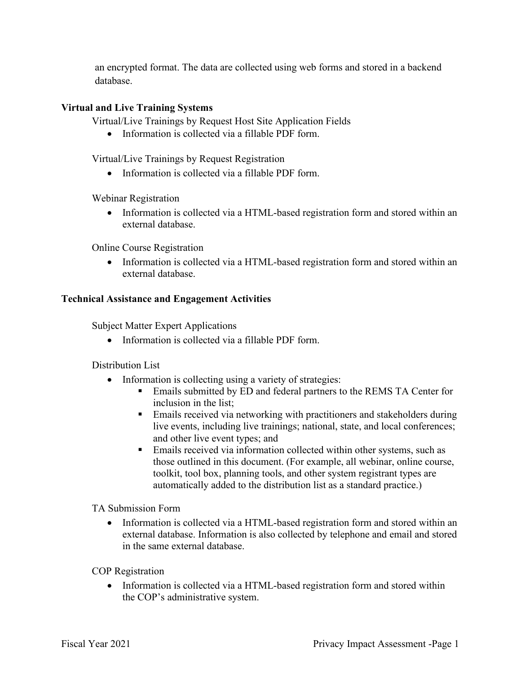an encrypted format. The data are collected using web forms and stored in a backend database.

#### **Virtual and Live Training Systems**

Virtual/Live Trainings by Request Host Site Application Fields

• Information is collected via a fillable PDF form.

Virtual/Live Trainings by Request Registration

• Information is collected via a fillable PDF form.

Webinar Registration

• Information is collected via a HTML-based registration form and stored within an external database.

Online Course Registration

• Information is collected via a HTML-based registration form and stored within an external database.

#### **Technical Assistance and Engagement Activities**

Subject Matter Expert Applications

• Information is collected via a fillable PDF form.

Distribution List

- Information is collecting using a variety of strategies:
	- **Emails submitted by ED and federal partners to the REMS TA Center for** inclusion in the list;
	- **Emails received via networking with practitioners and stakeholders during** live events, including live trainings; national, state, and local conferences; and other live event types; and
	- those outlined in this document. (For example, all webinar, online course, **Emails received via information collected within other systems, such as** toolkit, tool box, planning tools, and other system registrant types are automatically added to the distribution list as a standard practice.)

TA Submission Form

• Information is collected via a HTML-based registration form and stored within an external database. Information is also collected by telephone and email and stored in the same external database.

COP Registration

• Information is collected via a HTML-based registration form and stored within the COP's administrative system.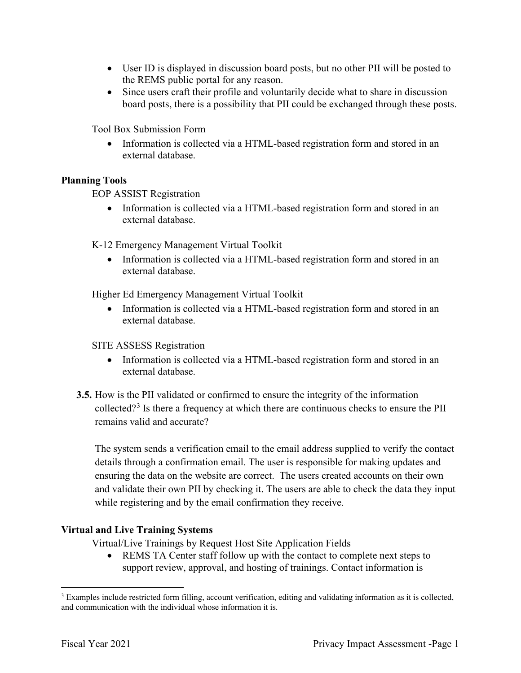- User ID is displayed in discussion board posts, but no other PII will be posted to the REMS public portal for any reason.
- Since users craft their profile and voluntarily decide what to share in discussion board posts, there is a possibility that PII could be exchanged through these posts.

Tool Box Submission Form

• Information is collected via a HTML-based registration form and stored in an external database.

#### **Planning Tools**

EOP ASSIST Registration

• Information is collected via a HTML-based registration form and stored in an external database.

K-12 Emergency Management Virtual Toolkit

• Information is collected via a HTML-based registration form and stored in an external database.

Higher Ed Emergency Management Virtual Toolkit

• Information is collected via a HTML-based registration form and stored in an external database.

#### SITE ASSESS Registration

- Information is collected via a HTML-based registration form and stored in an external database.
- **3.5.** How is the PII validated or confirmed to ensure the integrity of the information collected?<sup>3</sup> Is there a frequency at which there are continuous checks to ensure the PII remains valid and accurate?

 ensuring the data on the website are correct. The users created accounts on their own The system sends a verification email to the email address supplied to verify the contact details through a confirmation email. The user is responsible for making updates and and validate their own PII by checking it. The users are able to check the data they input while registering and by the email confirmation they receive.

#### **Virtual and Live Training Systems**

Virtual/Live Trainings by Request Host Site Application Fields

• REMS TA Center staff follow up with the contact to complete next steps to support review, approval, and hosting of trainings. Contact information is

and communication with the individual whose information it is. <sup>3</sup> Examples include restricted form filling, account verification, editing and validating information as it is collected, and communication with the individual whose information it is.<br>Fiscal Year 2021 Privacy Impact Assessment -Page 1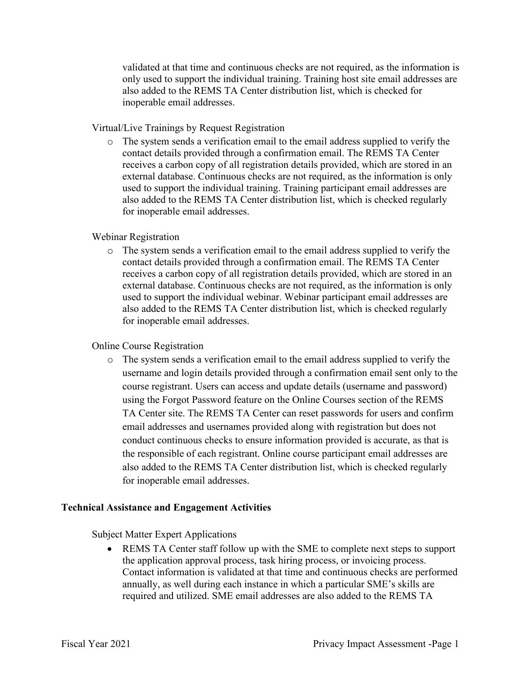validated at that time and continuous checks are not required, as the information is only used to support the individual training. Training host site email addresses are also added to the REMS TA Center distribution list, which is checked for inoperable email addresses.

Virtual/Live Trainings by Request Registration

 used to support the individual training. Training participant email addresses are o The system sends a verification email to the email address supplied to verify the contact details provided through a confirmation email. The REMS TA Center receives a carbon copy of all registration details provided, which are stored in an external database. Continuous checks are not required, as the information is only also added to the REMS TA Center distribution list, which is checked regularly for inoperable email addresses.

#### Webinar Registration

o The system sends a verification email to the email address supplied to verify the contact details provided through a confirmation email. The REMS TA Center receives a carbon copy of all registration details provided, which are stored in an external database. Continuous checks are not required, as the information is only used to support the individual webinar. Webinar participant email addresses are also added to the REMS TA Center distribution list, which is checked regularly for inoperable email addresses.

#### Online Course Registration

 username and login details provided through a confirmation email sent only to the TA Center site. The REMS TA Center can reset passwords for users and confirm email addresses and usernames provided along with registration but does not o The system sends a verification email to the email address supplied to verify the course registrant. Users can access and update details (username and password) using the Forgot Password feature on the Online Courses section of the REMS conduct continuous checks to ensure information provided is accurate, as that is the responsible of each registrant. Online course participant email addresses are also added to the REMS TA Center distribution list, which is checked regularly for inoperable email addresses.

#### **Technical Assistance and Engagement Activities**

Subject Matter Expert Applications

 • REMS TA Center staff follow up with the SME to complete next steps to support the application approval process, task hiring process, or invoicing process. Contact information is validated at that time and continuous checks are performed annually, as well during each instance in which a particular SME's skills are required and utilized. SME email addresses are also added to the REMS TA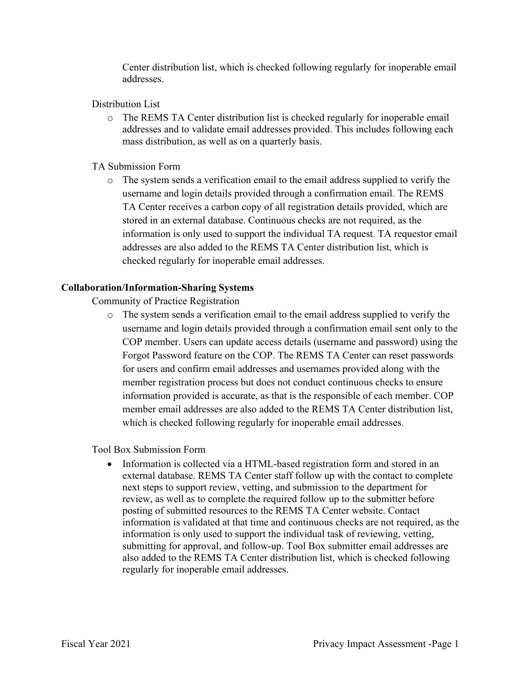Center distribution list, which is checked following regularly for inoperable email addresses.

#### Distribution List

o The REMS TA Center distribution list is checked regularly for inoperable email addresses and to validate email addresses provided. This includes following each mass distribution, as well as on a quarterly basis.

#### TA Submission Form

 information is only used to support the individual TA request. TA requestor email o The system sends a verification email to the email address supplied to verify the username and login details provided through a confirmation email. The REMS TA Center receives a carbon copy of all registration details provided, which are stored in an external database. Continuous checks are not required, as the addresses are also added to the REMS TA Center distribution list, which is checked regularly for inoperable email addresses.

#### **Collaboration/Information-Sharing Systems**

Community of Practice Registration

 username and login details provided through a confirmation email sent only to the COP member. Users can update access details (username and password) using the for users and confirm email addresses and usernames provided along with the member email addresses are also added to the REMS TA Center distribution list, o The system sends a verification email to the email address supplied to verify the Forgot Password feature on the COP. The REMS TA Center can reset passwords member registration process but does not conduct continuous checks to ensure information provided is accurate, as that is the responsible of each member. COP which is checked following regularly for inoperable email addresses.

Tool Box Submission Form

 next steps to support review, vetting, and submission to the department for • Information is collected via a HTML-based registration form and stored in an external database. REMS TA Center staff follow up with the contact to complete review, as well as to complete the required follow up to the submitter before posting of submitted resources to the REMS TA Center website. Contact information is validated at that time and continuous checks are not required, as the information is only used to support the individual task of reviewing, vetting, submitting for approval, and follow-up. Tool Box submitter email addresses are also added to the REMS TA Center distribution list, which is checked following regularly for inoperable email addresses.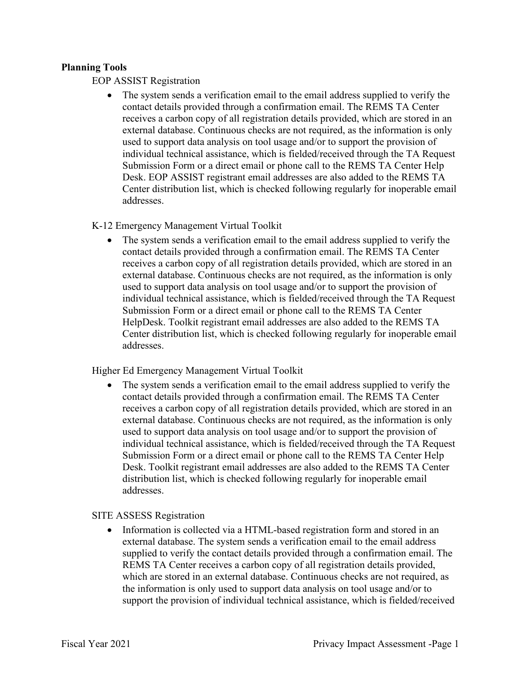#### **Planning Tools**

EOP ASSIST Registration

 Submission Form or a direct email or phone call to the REMS TA Center Help • The system sends a verification email to the email address supplied to verify the contact details provided through a confirmation email. The REMS TA Center receives a carbon copy of all registration details provided, which are stored in an external database. Continuous checks are not required, as the information is only used to support data analysis on tool usage and/or to support the provision of individual technical assistance, which is fielded/received through the TA Request Desk. EOP ASSIST registrant email addresses are also added to the REMS TA Center distribution list, which is checked following regularly for inoperable email addresses.

K-12 Emergency Management Virtual Toolkit

• The system sends a verification email to the email address supplied to verify the contact details provided through a confirmation email. The REMS TA Center receives a carbon copy of all registration details provided, which are stored in an external database. Continuous checks are not required, as the information is only used to support data analysis on tool usage and/or to support the provision of individual technical assistance, which is fielded/received through the TA Request Submission Form or a direct email or phone call to the REMS TA Center HelpDesk. Toolkit registrant email addresses are also added to the REMS TA Center distribution list, which is checked following regularly for inoperable email addresses.

Higher Ed Emergency Management Virtual Toolkit

 Submission Form or a direct email or phone call to the REMS TA Center Help • The system sends a verification email to the email address supplied to verify the contact details provided through a confirmation email. The REMS TA Center receives a carbon copy of all registration details provided, which are stored in an external database. Continuous checks are not required, as the information is only used to support data analysis on tool usage and/or to support the provision of individual technical assistance, which is fielded/received through the TA Request Desk. Toolkit registrant email addresses are also added to the REMS TA Center distribution list, which is checked following regularly for inoperable email addresses.

#### SITE ASSESS Registration

 • Information is collected via a HTML-based registration form and stored in an external database. The system sends a verification email to the email address supplied to verify the contact details provided through a confirmation email. The REMS TA Center receives a carbon copy of all registration details provided, which are stored in an external database. Continuous checks are not required, as the information is only used to support data analysis on tool usage and/or to support the provision of individual technical assistance, which is fielded/received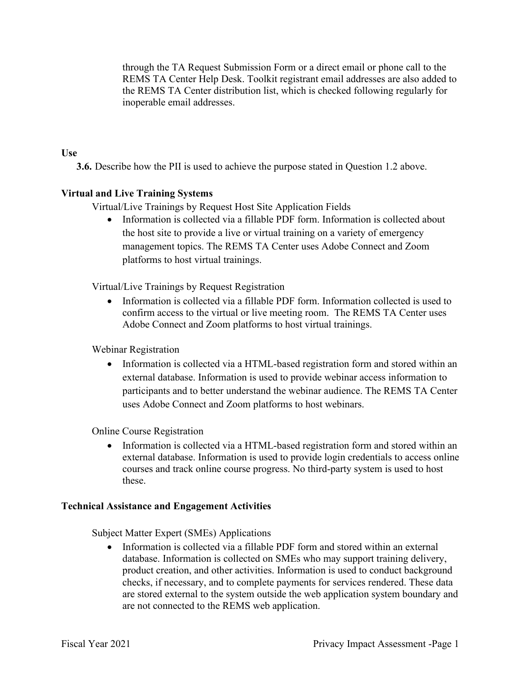through the TA Request Submission Form or a direct email or phone call to the REMS TA Center Help Desk. Toolkit registrant email addresses are also added to the REMS TA Center distribution list, which is checked following regularly for inoperable email addresses.

#### **Use**

**3.6.** Describe how the PII is used to achieve the purpose stated in Question 1.2 above.

#### **Virtual and Live Training Systems**

Virtual/Live Trainings by Request Host Site Application Fields

 • Information is collected via a fillable PDF form. Information is collected about management topics. The REMS TA Center uses Adobe Connect and Zoom the host site to provide a live or virtual training on a variety of emergency platforms to host virtual trainings.

Virtual/Live Trainings by Request Registration

 • Information is collected via a fillable PDF form. Information collected is used to confirm access to the virtual or live meeting room. The REMS TA Center uses Adobe Connect and Zoom platforms to host virtual trainings.

Webinar Registration

 participants and to better understand the webinar audience. The REMS TA Center uses Adobe Connect and Zoom platforms to host webinars. • Information is collected via a HTML-based registration form and stored within an external database. Information is used to provide webinar access information to

Online Course Registration

• Information is collected via a HTML-based registration form and stored within an external database. Information is used to provide login credentials to access online courses and track online course progress. No third-party system is used to host these.

#### **Technical Assistance and Engagement Activities**

Subject Matter Expert (SMEs) Applications

 product creation, and other activities. Information is used to conduct background checks, if necessary, and to complete payments for services rendered. These data • Information is collected via a fillable PDF form and stored within an external database. Information is collected on SMEs who may support training delivery, are stored external to the system outside the web application system boundary and are not connected to the REMS web application.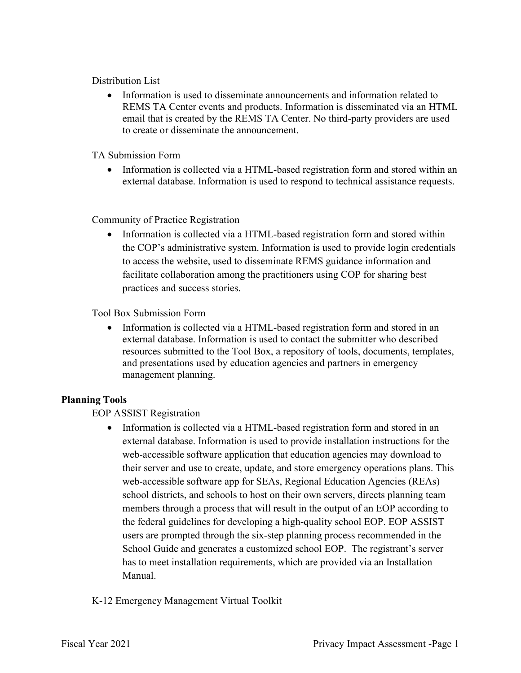#### Distribution List

• Information is used to disseminate announcements and information related to REMS TA Center events and products. Information is disseminated via an HTML email that is created by the REMS TA Center. No third-party providers are used to create or disseminate the announcement.

#### TA Submission Form

 • Information is collected via a HTML-based registration form and stored within an external database. Information is used to respond to technical assistance requests.

#### Community of Practice Registration

 practices and success stories. Tool Box Submission Form • Information is collected via a HTML-based registration form and stored within the COP's administrative system. Information is used to provide login credentials to access the website, used to disseminate REMS guidance information and facilitate collaboration among the practitioners using COP for sharing best

• Information is collected via a HTML-based registration form and stored in an external database. Information is used to contact the submitter who described resources submitted to the Tool Box, a repository of tools, documents, templates, and presentations used by education agencies and partners in emergency management planning.

#### **Planning Tools**

EOP ASSIST Registration

 their server and use to create, update, and store emergency operations plans. This School Guide and generates a customized school EOP. The registrant's server • Information is collected via a HTML-based registration form and stored in an external database. Information is used to provide installation instructions for the web-accessible software application that education agencies may download to web-accessible software app for SEAs, Regional Education Agencies (REAs) school districts, and schools to host on their own servers, directs planning team members through a process that will result in the output of an EOP according to the federal guidelines for developing a high-quality school EOP. EOP ASSIST users are prompted through the six-step planning process recommended in the has to meet installation requirements, which are provided via an Installation Manual.

#### K-12 Emergency Management Virtual Toolkit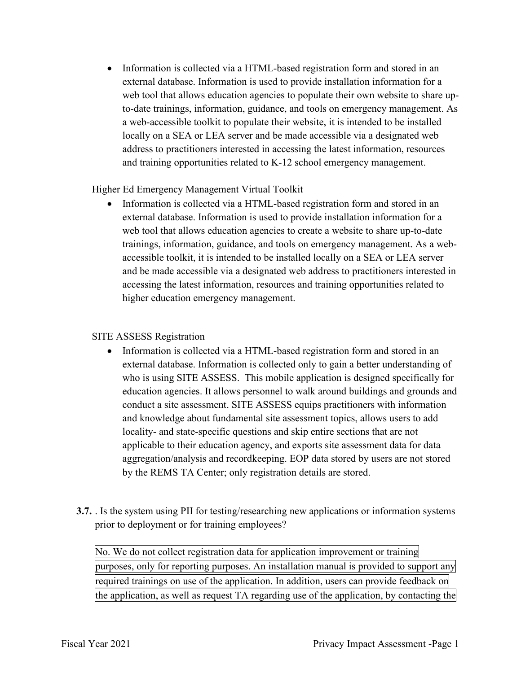• Information is collected via a HTML-based registration form and stored in an locally on a SEA or LEA server and be made accessible via a designated web external database. Information is used to provide installation information for a web tool that allows education agencies to populate their own website to share upto-date trainings, information, guidance, and tools on emergency management. As a web-accessible toolkit to populate their website, it is intended to be installed address to practitioners interested in accessing the latest information, resources and training opportunities related to K-12 school emergency management.

#### Higher Ed Emergency Management Virtual Toolkit

 accessible toolkit, it is intended to be installed locally on a SEA or LEA server • Information is collected via a HTML-based registration form and stored in an external database. Information is used to provide installation information for a web tool that allows education agencies to create a website to share up-to-date trainings, information, guidance, and tools on emergency management. As a weband be made accessible via a designated web address to practitioners interested in accessing the latest information, resources and training opportunities related to higher education emergency management.

#### SITE ASSESS Registration

- aggregation/analysis and recordkeeping. EOP data stored by users are not stored by the REMS TA Center; only registration details are stored. • Information is collected via a HTML-based registration form and stored in an external database. Information is collected only to gain a better understanding of who is using SITE ASSESS. This mobile application is designed specifically for education agencies. It allows personnel to walk around buildings and grounds and conduct a site assessment. SITE ASSESS equips practitioners with information and knowledge about fundamental site assessment topics, allows users to add locality- and state-specific questions and skip entire sections that are not applicable to their education agency, and exports site assessment data for data
- **3.7.** . Is the system using PII for testing/researching new applications or information systems prior to deployment or for training employees?

prior to deployment or for training employees?<br>No. We do not collect registration data for application improvement or training purposes, only for reporting purposes. An installation manual is provided to support any required trainings on use of the application. In addition, users can provide feedback on the application, as well as request TA regarding use of the application, by contacting the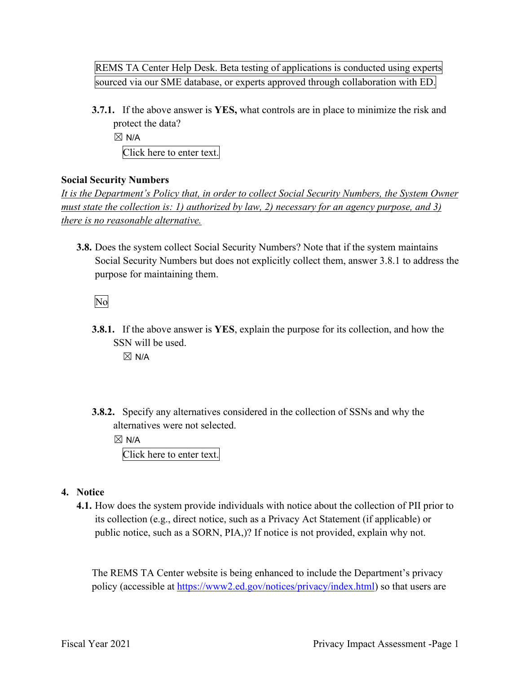REMS TA Center Help Desk. Beta testing of applications is conducted using experts sourced via our SME database, or experts approved through collaboration with ED.

**3.7.1.** If the above answer is **YES,** what controls are in place to minimize the risk and protect the data?

 $\boxtimes$  N/A

Click here to enter text.

#### **Social Security Numbers**

*It is the Department's Policy that, in order to collect Social Security Numbers, the System Owner must state the collection is: 1) authorized by law, 2) necessary for an agency purpose, and 3) there is no reasonable alternative.* 

 **3.8.** Does the system collect Social Security Numbers? Note that if the system maintains Social Security Numbers but does not explicitly collect them, answer 3.8.1 to address the purpose for maintaining them.

No

**3.8.1.** If the above answer is **YES**, explain the purpose for its collection, and how the SSN will be used.

 $\boxtimes$  N/A

 **3.8.2.** Specify any alternatives considered in the collection of SSNs and why the alternatives were not selected.

 $\boxtimes$  N/A

Click here to enter text.

- **4. Notice** 
	- its collection (e.g., direct notice, such as a Privacy Act Statement (if applicable) or public notice, such as a SORN, PIA,)? If notice is not provided, explain why not. **4.1.** How does the system provide individuals with notice about the collection of PII prior to

The REMS TA Center website is being enhanced to include the Department's privacy policy (accessible at [https://www2.ed.gov/notices/privacy/index.html\)](https://www2.ed.gov/notices/privacy/index.html) so that users are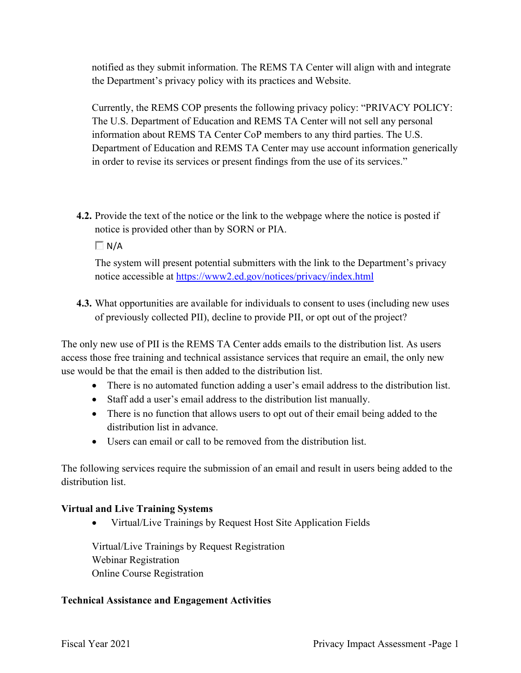notified as they submit information. The REMS TA Center will align with and integrate the Department's privacy policy with its practices and Website.

Currently, the REMS COP presents the following privacy policy: "PRIVACY POLICY: The U.S. Department of Education and REMS TA Center will not sell any personal information about REMS TA Center CoP members to any third parties. The U.S. Department of Education and REMS TA Center may use account information generically in order to revise its services or present findings from the use of its services."

**4.2.** Provide the text of the notice or the link to the webpage where the notice is posted if notice is provided other than by SORN or PIA.

 $\Box$  N/A

notice accessible at<https://www2.ed.gov/notices/privacy/index.html> The system will present potential submitters with the link to the Department's privacy

**4.3.** What opportunities are available for individuals to consent to uses (including new uses of previously collected PII), decline to provide PII, or opt out of the project?

 access those free training and technical assistance services that require an email, the only new The only new use of PII is the REMS TA Center adds emails to the distribution list. As users use would be that the email is then added to the distribution list.

- There is no automated function adding a user's email address to the distribution list.
- Staff add a user's email address to the distribution list manually.
- • There is no function that allows users to opt out of their email being added to the distribution list in advance.
- Users can email or call to be removed from the distribution list.

The following services require the submission of an email and result in users being added to the distribution list.

### **Virtual and Live Training Systems**

• Virtual/Live Trainings by Request Host Site Application Fields

 Virtual/Live Trainings by Request Registration Webinar Registration Online Course Registration

### **Technical Assistance and Engagement Activities**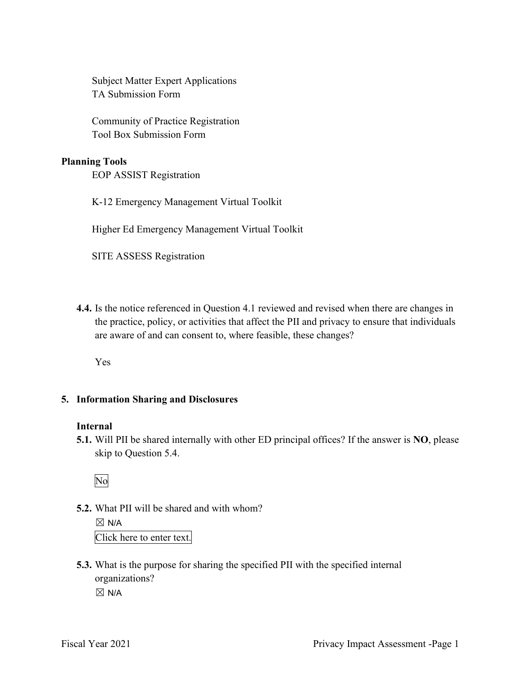Subject Matter Expert Applications TA Submission Form

Community of Practice Registration Tool Box Submission Form

#### **Planning Tools**

EOP ASSIST Registration

K-12 Emergency Management Virtual Toolkit

Higher Ed Emergency Management Virtual Toolkit

SITE ASSESS Registration

 are aware of and can consent to, where feasible, these changes? **4.4.** Is the notice referenced in Question 4.1 reviewed and revised when there are changes in the practice, policy, or activities that affect the PII and privacy to ensure that individuals

Yes

#### **5. Information Sharing and Disclosures**

#### **Internal**

 **5.1.** Will PII be shared internally with other ED principal offices? If the answer is **NO**, please skip to Question 5.4.

No

**5.2.** What PII will be shared and with whom?

 $\boxtimes$  N/A Click here to enter text.

 organizations?  $\boxtimes$  N/A **5.3.** What is the purpose for sharing the specified PII with the specified internal

Fiscal Year 2021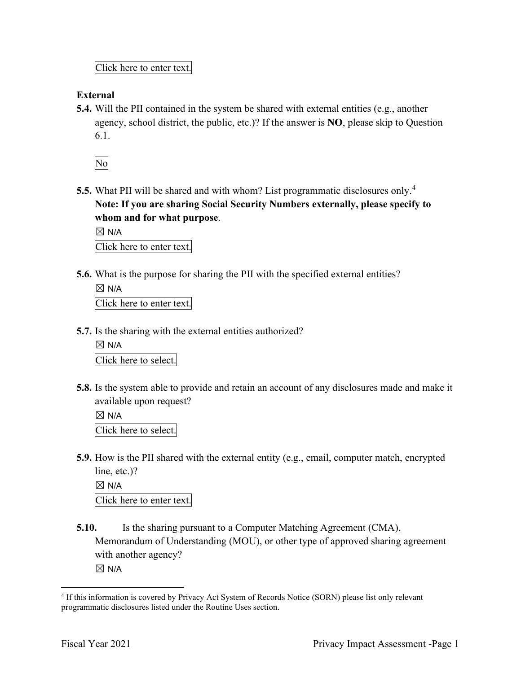Click here to enter text.

#### **External**

 **5.4.** Will the PII contained in the system be shared with external entities (e.g., another agency, school district, the public, etc.)? If the answer is **NO**, please skip to Question 6.1.

No

 **5.5.** What PII will be shared and with whom? List programmatic disclosures only.<sup>4</sup> **Note: If you are sharing Social Security Numbers externally, please specify to whom and for what purpose**.

 $\boxtimes$  N/A Click here to enter text.

**5.6.** What is the purpose for sharing the PII with the specified external entities?

 $\boxtimes$  N/A Click here to enter text.

- **5.7.** Is the sharing with the external entities authorized?
	- $\boxtimes$  N/A Click here to select.
- **5.8.** Is the system able to provide and retain an account of any disclosures made and make it available upon request?

 $\boxtimes$  N/A Click here to select.

 **5.9.** How is the PII shared with the external entity (e.g., email, computer match, encrypted line, etc.)?

 $\boxtimes$  N/A Click here to enter text.

**5.10.** Is the sharing pursuant to a Computer Matching Agreement (CMA), Memorandum of Understanding (MOU), or other type of approved sharing agreement with another agency?

 $\boxtimes$  N/A

<sup>&</sup>lt;sup>4</sup> If this information is covered by Privacy Act System of Records Notice (SORN) please list only relevant programmatic disclosures listed under the Routine Uses section.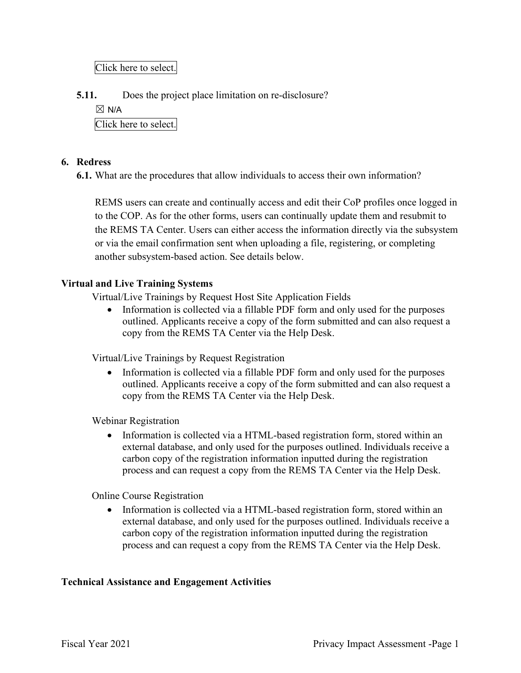Click here to select.

**5.11.** Does the project place limitation on re-disclosure?

 $\boxtimes$  N/A

Click here to select.

#### **6. Redress**

**6.1.** What are the procedures that allow individuals to access their own information?

 the REMS TA Center. Users can either access the information directly via the subsystem REMS users can create and continually access and edit their CoP profiles once logged in to the COP. As for the other forms, users can continually update them and resubmit to or via the email confirmation sent when uploading a file, registering, or completing another subsystem-based action. See details below.

#### **Virtual and Live Training Systems**

Virtual/Live Trainings by Request Host Site Application Fields

 outlined. Applicants receive a copy of the form submitted and can also request a • Information is collected via a fillable PDF form and only used for the purposes copy from the REMS TA Center via the Help Desk.

Virtual/Live Trainings by Request Registration

 outlined. Applicants receive a copy of the form submitted and can also request a • Information is collected via a fillable PDF form and only used for the purposes copy from the REMS TA Center via the Help Desk.

Webinar Registration

• Information is collected via a HTML-based registration form, stored within an external database, and only used for the purposes outlined. Individuals receive a carbon copy of the registration information inputted during the registration process and can request a copy from the REMS TA Center via the Help Desk.

Online Course Registration

• Information is collected via a HTML-based registration form, stored within an external database, and only used for the purposes outlined. Individuals receive a carbon copy of the registration information inputted during the registration process and can request a copy from the REMS TA Center via the Help Desk.

#### **Technical Assistance and Engagement Activities**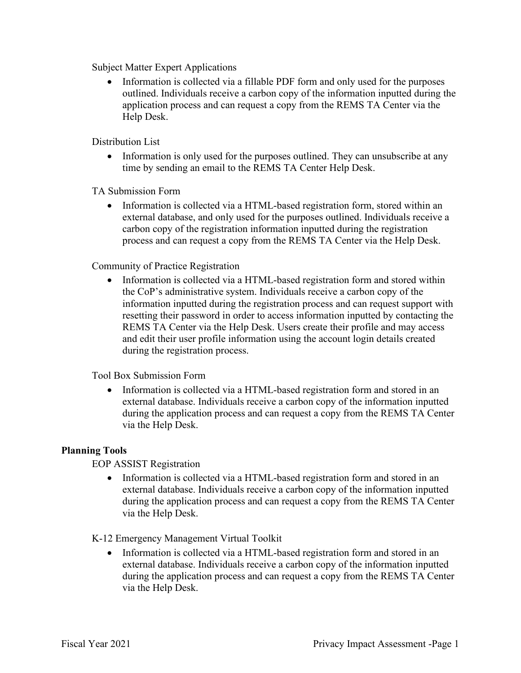Subject Matter Expert Applications

Information is collected via a fillable PDF form and only used for the purposes outlined. Individuals receive a carbon copy of the information inputted during the application process and can request a copy from the REMS TA Center via the Help Desk.

Distribution List

• Information is only used for the purposes outlined. They can unsubscribe at any time by sending an email to the REMS TA Center Help Desk.

TA Submission Form

• Information is collected via a HTML-based registration form, stored within an external database, and only used for the purposes outlined. Individuals receive a carbon copy of the registration information inputted during the registration process and can request a copy from the REMS TA Center via the Help Desk.

Community of Practice Registration

Information is collected via a HTML-based registration form and stored within the CoP's administrative system. Individuals receive a carbon copy of the information inputted during the registration process and can request support with resetting their password in order to access information inputted by contacting the REMS TA Center via the Help Desk. Users create their profile and may access and edit their user profile information using the account login details created during the registration process.

Tool Box Submission Form

• Information is collected via a HTML-based registration form and stored in an external database. Individuals receive a carbon copy of the information inputted during the application process and can request a copy from the REMS TA Center via the Help Desk.

#### **Planning Tools**

EOP ASSIST Registration

• Information is collected via a HTML-based registration form and stored in an external database. Individuals receive a carbon copy of the information inputted during the application process and can request a copy from the REMS TA Center via the Help Desk.

K-12 Emergency Management Virtual Toolkit

• Information is collected via a HTML-based registration form and stored in an external database. Individuals receive a carbon copy of the information inputted during the application process and can request a copy from the REMS TA Center via the Help Desk.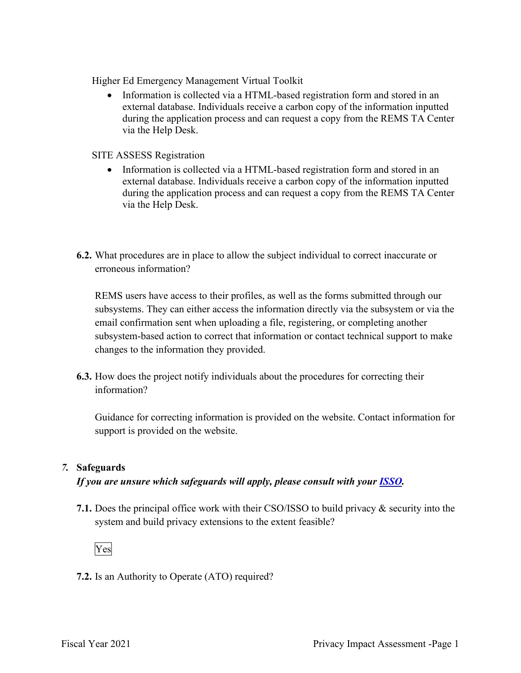Higher Ed Emergency Management Virtual Toolkit

• Information is collected via a HTML-based registration form and stored in an external database. Individuals receive a carbon copy of the information inputted during the application process and can request a copy from the REMS TA Center via the Help Desk.

SITE ASSESS Registration

- Information is collected via a HTML-based registration form and stored in an external database. Individuals receive a carbon copy of the information inputted during the application process and can request a copy from the REMS TA Center via the Help Desk.
- **6.2.** What procedures are in place to allow the subject individual to correct inaccurate or erroneous information?

REMS users have access to their profiles, as well as the forms submitted through our subsystems. They can either access the information directly via the subsystem or via the email confirmation sent when uploading a file, registering, or completing another subsystem-based action to correct that information or contact technical support to make changes to the information they provided.

**6.3.** How does the project notify individuals about the procedures for correcting their information?

Guidance for correcting information is provided on the website. Contact information for support is provided on the website.

#### *7.* **Safeguards**

 *If you are unsure which safeguards will apply, please consult with your ISSO.* 

 system and build privacy extensions to the extent feasible? **7.1.** Does the principal office work with their CSO/ISSO to build privacy & security into the



**7.2.** Is an Authority to Operate (ATO) required?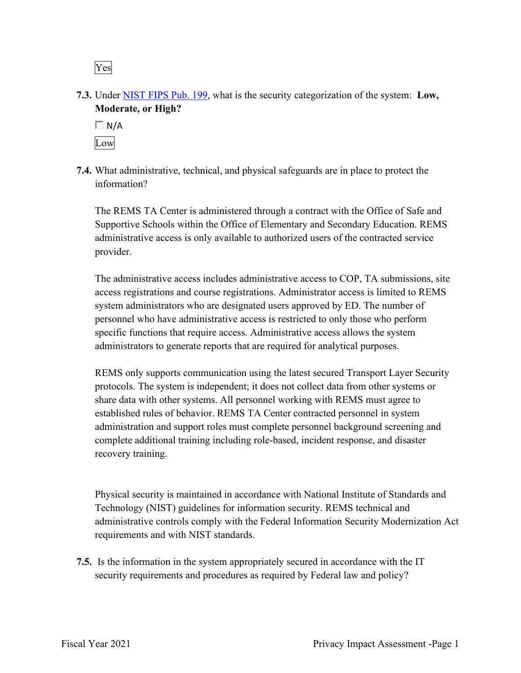Yes

**7.3.** Under NIST FIPS Pub. 199, what is the security categorization of the system: **Low, Moderate, or High?** 



**7.4.** What administrative, technical, and physical safeguards are in place to protect the information?

The REMS TA Center is administered through a contract with the Office of Safe and Supportive Schools within the Office of Elementary and Secondary Education. REMS administrative access is only available to authorized users of the contracted service provider.

The administrative access includes administrative access to COP, TA submissions, site access registrations and course registrations. Administrator access is limited to REMS system administrators who are designated users approved by ED. The number of personnel who have administrative access is restricted to only those who perform specific functions that require access. Administrative access allows the system administrators to generate reports that are required for analytical purposes.

 share data with other systems. All personnel working with REMS must agree to REMS only supports communication using the latest secured Transport Layer Security protocols. The system is independent; it does not collect data from other systems or established rules of behavior. REMS TA Center contracted personnel in system administration and support roles must complete personnel background screening and complete additional training including role-based, incident response, and disaster recovery training.

 Technology (NIST) guidelines for information security. REMS technical and requirements and with NIST standards. Physical security is maintained in accordance with National Institute of Standards and administrative controls comply with the Federal Information Security Modernization Act

 **7.5.** Is the information in the system appropriately secured in accordance with the IT security requirements and procedures as required by Federal law and policy?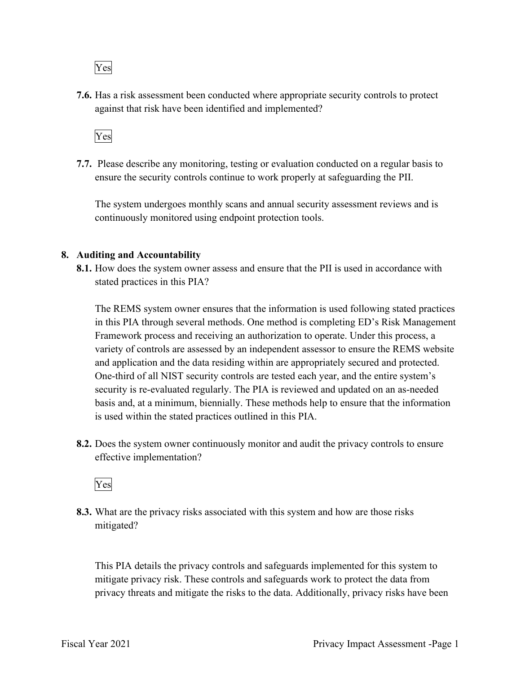Yes

**7.6.** Has a risk assessment been conducted where appropriate security controls to protect against that risk have been identified and implemented?



 ensure the security controls continue to work properly at safeguarding the PII. **7.7.** Please describe any monitoring, testing or evaluation conducted on a regular basis to

 The system undergoes monthly scans and annual security assessment reviews and is continuously monitored using endpoint protection tools.

#### **8. Auditing and Accountability**

 **8.1.** How does the system owner assess and ensure that the PII is used in accordance with stated practices in this PIA?

 variety of controls are assessed by an independent assessor to ensure the REMS website The REMS system owner ensures that the information is used following stated practices in this PIA through several methods. One method is completing ED's Risk Management Framework process and receiving an authorization to operate. Under this process, a and application and the data residing within are appropriately secured and protected. One-third of all NIST security controls are tested each year, and the entire system's security is re-evaluated regularly. The PIA is reviewed and updated on an as-needed basis and, at a minimum, biennially. These methods help to ensure that the information is used within the stated practices outlined in this PIA.

 **8.2.** Does the system owner continuously monitor and audit the privacy controls to ensure effective implementation?

Yes

 mitigated? **8.3.** What are the privacy risks associated with this system and how are those risks

 This PIA details the privacy controls and safeguards implemented for this system to mitigate privacy risk. These controls and safeguards work to protect the data from privacy threats and mitigate the risks to the data. Additionally, privacy risks have been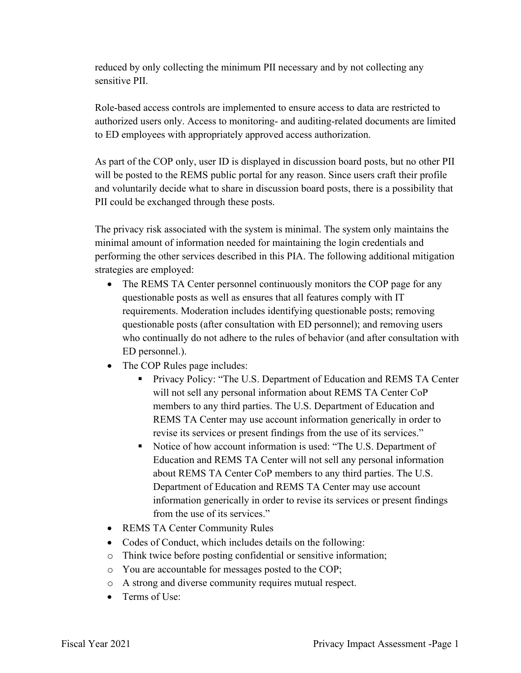reduced by only collecting the minimum PII necessary and by not collecting any sensitive PII.

Role-based access controls are implemented to ensure access to data are restricted to authorized users only. Access to monitoring- and auditing-related documents are limited to ED employees with appropriately approved access authorization.

 As part of the COP only, user ID is displayed in discussion board posts, but no other PII will be posted to the REMS public portal for any reason. Since users craft their profile PII could be exchanged through these posts. and voluntarily decide what to share in discussion board posts, there is a possibility that

 minimal amount of information needed for maintaining the login credentials and The privacy risk associated with the system is minimal. The system only maintains the performing the other services described in this PIA. The following additional mitigation strategies are employed:

- ED personnel.). • The REMS TA Center personnel continuously monitors the COP page for any questionable posts as well as ensures that all features comply with IT requirements. Moderation includes identifying questionable posts; removing questionable posts (after consultation with ED personnel); and removing users who continually do not adhere to the rules of behavior (and after consultation with
- The COP Rules page includes:
	- **Privacy Policy: "The U.S. Department of Education and REMS TA Center** will not sell any personal information about REMS TA Center CoP members to any third parties. The U.S. Department of Education and REMS TA Center may use account information generically in order to revise its services or present findings from the use of its services."
	- Notice of how account information is used: "The U.S. Department of from the use of its services." Education and REMS TA Center will not sell any personal information about REMS TA Center CoP members to any third parties. The U.S. Department of Education and REMS TA Center may use account information generically in order to revise its services or present findings
- REMS TA Center Community Rules
- Codes of Conduct, which includes details on the following:
- o Think twice before posting confidential or sensitive information;
- o You are accountable for messages posted to the COP;
- o A strong and diverse community requires mutual respect.
- Terms of Use: